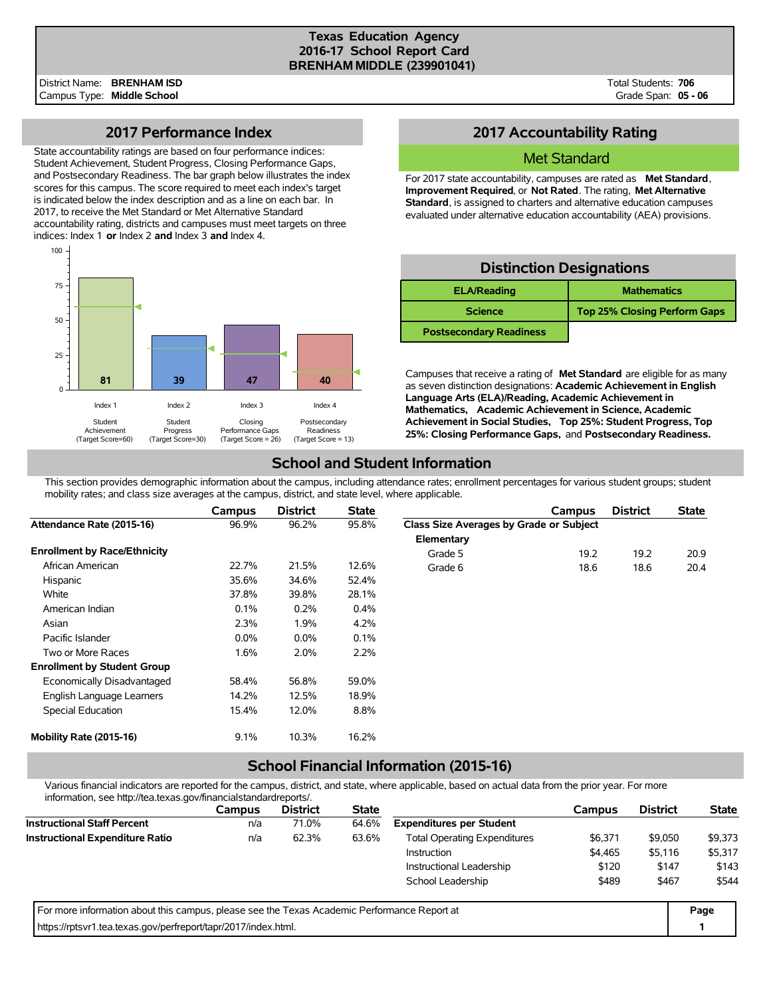### **Texas Education Agency 2016-17 School Report Card BRENHAM MIDDLE (239901041)**

Total Students: **706** Grade Span: **05 - 06**

## **2017 Performance Index**

State accountability ratings are based on four performance indices: Student Achievement, Student Progress, Closing Performance Gaps, and Postsecondary Readiness. The bar graph below illustrates the index scores for this campus. The score required to meet each index's target is indicated below the index description and as a line on each bar. In 2017, to receive the Met Standard or Met Alternative Standard accountability rating, districts and campuses must meet targets on three indices: Index 1 **or** Index 2 **and** Index 3 **and** Index 4.



## **2017 Accountability Rating**

### Met Standard

For 2017 state accountability, campuses are rated as **Met Standard**, **Improvement Required**, or **Not Rated**. The rating, **Met Alternative Standard**, is assigned to charters and alternative education campuses evaluated under alternative education accountability (AEA) provisions.

## **Distinction Designations**

| <b>ELA/Reading</b>             | <b>Mathematics</b>                  |
|--------------------------------|-------------------------------------|
| <b>Science</b>                 | <b>Top 25% Closing Perform Gaps</b> |
| <b>Postsecondary Readiness</b> |                                     |

Campuses that receive a rating of **Met Standard** are eligible for as many as seven distinction designations: **Academic Achievement in English Language Arts (ELA)/Reading, Academic Achievement in Mathematics, Academic Achievement in Science, Academic Achievement in Social Studies, Top 25%: Student Progress, Top 25%: Closing Performance Gaps,** and **Postsecondary Readiness.**

## **School and Student Information**

This section provides demographic information about the campus, including attendance rates; enrollment percentages for various student groups; student mobility rates; and class size averages at the campus, district, and state level, where applicable.

|                                     | Campus  | <b>District</b> | <b>State</b> |                                         | Campus | <b>District</b> | <b>State</b> |
|-------------------------------------|---------|-----------------|--------------|-----------------------------------------|--------|-----------------|--------------|
| Attendance Rate (2015-16)           | 96.9%   | 96.2%           | 95.8%        | Class Size Averages by Grade or Subject |        |                 |              |
|                                     |         |                 |              | Elementary                              |        |                 |              |
| <b>Enrollment by Race/Ethnicity</b> |         |                 |              | Grade 5                                 | 19.2   | 19.2            | 20.9         |
| African American                    | 22.7%   | 21.5%           | 12.6%        | Grade 6                                 | 18.6   | 18.6            | 20.4         |
| Hispanic                            | 35.6%   | 34.6%           | 52.4%        |                                         |        |                 |              |
| White                               | 37.8%   | 39.8%           | 28.1%        |                                         |        |                 |              |
| American Indian                     | 0.1%    | 0.2%            | 0.4%         |                                         |        |                 |              |
| Asian                               | 2.3%    | 1.9%            | 4.2%         |                                         |        |                 |              |
| Pacific Islander                    | $0.0\%$ | $0.0\%$         | 0.1%         |                                         |        |                 |              |
| Two or More Races                   | 1.6%    | 2.0%            | 2.2%         |                                         |        |                 |              |
| <b>Enrollment by Student Group</b>  |         |                 |              |                                         |        |                 |              |
| Economically Disadvantaged          | 58.4%   | 56.8%           | 59.0%        |                                         |        |                 |              |
| English Language Learners           | 14.2%   | 12.5%           | 18.9%        |                                         |        |                 |              |
| Special Education                   | 15.4%   | 12.0%           | 8.8%         |                                         |        |                 |              |
| Mobility Rate (2015-16)             | 9.1%    | 10.3%           | 16.2%        |                                         |        |                 |              |

# **School Financial Information (2015-16)**

Various financial indicators are reported for the campus, district, and state, where applicable, based on actual data from the prior year. For more information, see http://tea.texas.gov/financialstandardreports/.

| illiofitiation, see http://tea.texas.gov/illialicialstandardieports/.                       |               |                 |              |                                     |         |                 |              |
|---------------------------------------------------------------------------------------------|---------------|-----------------|--------------|-------------------------------------|---------|-----------------|--------------|
|                                                                                             | <b>Campus</b> | <b>District</b> | <b>State</b> |                                     | Campus  | <b>District</b> | <b>State</b> |
| <b>Instructional Staff Percent</b>                                                          | n/a           | 71.0%           | 64.6%        | <b>Expenditures per Student</b>     |         |                 |              |
| <b>Instructional Expenditure Ratio</b>                                                      | n/a           | 62.3%           | 63.6%        | <b>Total Operating Expenditures</b> | \$9,050 | \$9,373         |              |
|                                                                                             |               |                 |              | <b>Instruction</b>                  | \$4,465 | \$5,116         | \$5,317      |
|                                                                                             |               |                 |              | Instructional Leadership            | \$120   | \$147           | \$143        |
|                                                                                             |               |                 |              | School Leadership                   | \$489   | \$467           | \$544        |
| For more information about this campus, please see the Texas Academic Performance Report at |               |                 |              |                                     |         |                 | Page         |
| https://rptsvr1.tea.texas.gov/perfreport/tapr/2017/index.html.                              |               |                 |              |                                     |         |                 |              |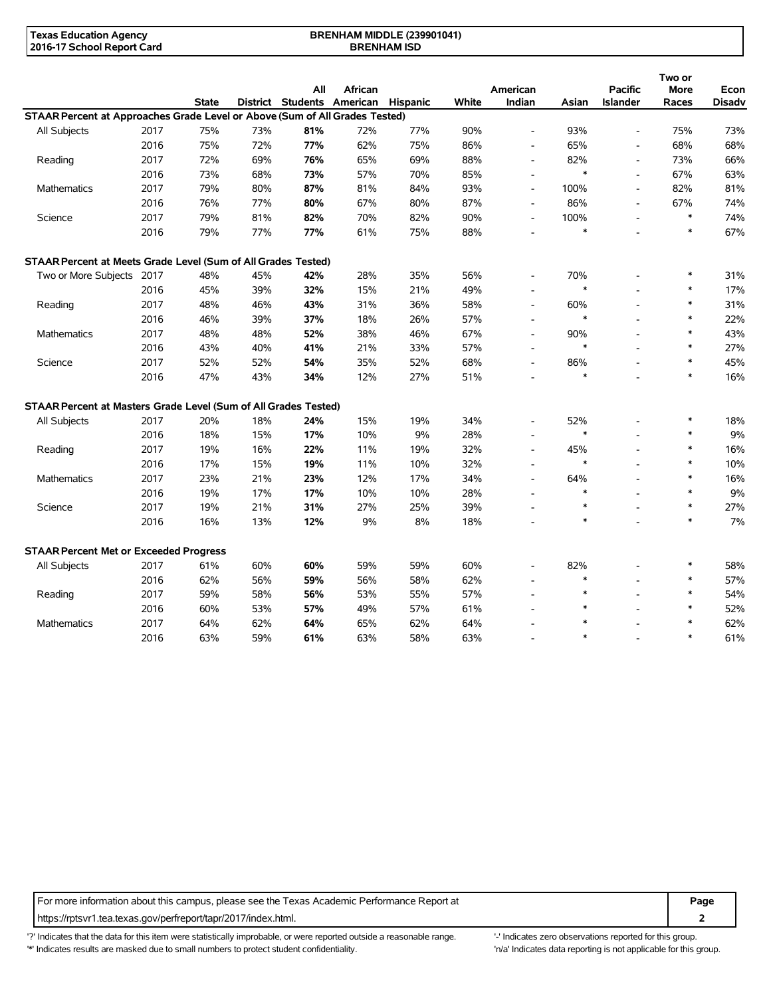| <b>Texas Education Agency</b> | <b>BRENHAM MIDDLE (239901041)</b> |  |
|-------------------------------|-----------------------------------|--|
| 2016-17 School Report Card    | <b>BRENHAM ISD</b>                |  |

|                                                                             |      |              |     | All                        | African |                 |       |                          |        | <b>Pacific</b>           | Two or<br><b>More</b> |                       |
|-----------------------------------------------------------------------------|------|--------------|-----|----------------------------|---------|-----------------|-------|--------------------------|--------|--------------------------|-----------------------|-----------------------|
|                                                                             |      | <b>State</b> |     | District Students American |         | <b>Hispanic</b> | White | American<br>Indian       | Asian  | <b>Islander</b>          | Races                 | Econ<br><b>Disadv</b> |
| STAAR Percent at Approaches Grade Level or Above (Sum of All Grades Tested) |      |              |     |                            |         |                 |       |                          |        |                          |                       |                       |
| All Subjects                                                                | 2017 | 75%          | 73% | 81%                        | 72%     | 77%             | 90%   |                          | 93%    | $\overline{\phantom{a}}$ | 75%                   | 73%                   |
|                                                                             | 2016 | 75%          | 72% | 77%                        | 62%     | 75%             | 86%   | $\overline{a}$           | 65%    | ÷,                       | 68%                   | 68%                   |
| Reading                                                                     | 2017 | 72%          | 69% | 76%                        | 65%     | 69%             | 88%   | $\overline{\phantom{a}}$ | 82%    | $\blacksquare$           | 73%                   | 66%                   |
|                                                                             | 2016 | 73%          | 68% | 73%                        | 57%     | 70%             | 85%   | $\overline{\phantom{a}}$ | $\ast$ | $\overline{\phantom{a}}$ | 67%                   | 63%                   |
| Mathematics                                                                 | 2017 | 79%          | 80% | 87%                        | 81%     | 84%             | 93%   | $\overline{\phantom{a}}$ | 100%   | $\overline{\phantom{a}}$ | 82%                   | 81%                   |
|                                                                             | 2016 | 76%          | 77% | 80%                        | 67%     | 80%             | 87%   | $\overline{\phantom{a}}$ | 86%    | $\overline{\phantom{a}}$ | 67%                   | 74%                   |
| Science                                                                     | 2017 | 79%          | 81% | 82%                        | 70%     | 82%             | 90%   | $\overline{a}$           | 100%   |                          | $\ast$                | 74%                   |
|                                                                             | 2016 | 79%          | 77% | 77%                        | 61%     | 75%             | 88%   |                          | $\ast$ |                          | $\ast$                | 67%                   |
| STAAR Percent at Meets Grade Level (Sum of All Grades Tested)               |      |              |     |                            |         |                 |       |                          |        |                          |                       |                       |
| Two or More Subjects 2017                                                   |      | 48%          | 45% | 42%                        | 28%     | 35%             | 56%   | $\overline{\phantom{a}}$ | 70%    |                          | $\ast$                | 31%                   |
|                                                                             | 2016 | 45%          | 39% | 32%                        | 15%     | 21%             | 49%   |                          | $\ast$ |                          | $\ast$                | 17%                   |
| Reading                                                                     | 2017 | 48%          | 46% | 43%                        | 31%     | 36%             | 58%   | $\overline{\phantom{a}}$ | 60%    | $\overline{\phantom{a}}$ | $\ast$                | 31%                   |
|                                                                             | 2016 | 46%          | 39% | 37%                        | 18%     | 26%             | 57%   | $\overline{\phantom{a}}$ | $\ast$ |                          | $\ast$                | 22%                   |
| <b>Mathematics</b>                                                          | 2017 | 48%          | 48% | 52%                        | 38%     | 46%             | 67%   | $\overline{\phantom{a}}$ | 90%    |                          | $\ast$                | 43%                   |
|                                                                             | 2016 | 43%          | 40% | 41%                        | 21%     | 33%             | 57%   | $\overline{a}$           | $\ast$ |                          | $\ast$                | 27%                   |
| Science                                                                     | 2017 | 52%          | 52% | 54%                        | 35%     | 52%             | 68%   | $\overline{a}$           | 86%    |                          | $\ast$                | 45%                   |
|                                                                             | 2016 | 47%          | 43% | 34%                        | 12%     | 27%             | 51%   |                          | $\ast$ |                          | $\ast$                | 16%                   |
| STAAR Percent at Masters Grade Level (Sum of All Grades Tested)             |      |              |     |                            |         |                 |       |                          |        |                          |                       |                       |
| All Subjects                                                                | 2017 | 20%          | 18% | 24%                        | 15%     | 19%             | 34%   |                          | 52%    |                          | $\ast$                | 18%                   |
|                                                                             | 2016 | 18%          | 15% | 17%                        | 10%     | 9%              | 28%   | $\blacksquare$           | $\ast$ |                          | $\ast$                | 9%                    |
| Reading                                                                     | 2017 | 19%          | 16% | 22%                        | 11%     | 19%             | 32%   | $\overline{\phantom{a}}$ | 45%    | $\overline{a}$           | $\ast$                | 16%                   |
|                                                                             | 2016 | 17%          | 15% | 19%                        | 11%     | 10%             | 32%   | $\blacksquare$           | $\ast$ |                          | $\ast$                | 10%                   |
| <b>Mathematics</b>                                                          | 2017 | 23%          | 21% | 23%                        | 12%     | 17%             | 34%   | $\blacksquare$           | 64%    |                          | $\ast$                | 16%                   |
|                                                                             | 2016 | 19%          | 17% | 17%                        | 10%     | 10%             | 28%   |                          | $\ast$ |                          | $\ast$                | 9%                    |
| Science                                                                     | 2017 | 19%          | 21% | 31%                        | 27%     | 25%             | 39%   |                          | $\ast$ |                          | $\ast$                | 27%                   |
|                                                                             | 2016 | 16%          | 13% | 12%                        | 9%      | 8%              | 18%   |                          | $\ast$ |                          | $\ast$                | 7%                    |
| <b>STAAR Percent Met or Exceeded Progress</b>                               |      |              |     |                            |         |                 |       |                          |        |                          |                       |                       |
| All Subjects                                                                | 2017 | 61%          | 60% | 60%                        | 59%     | 59%             | 60%   |                          | 82%    |                          | $\ast$                | 58%                   |
|                                                                             | 2016 | 62%          | 56% | 59%                        | 56%     | 58%             | 62%   |                          | $\ast$ |                          | $\ast$                | 57%                   |
| Reading                                                                     | 2017 | 59%          | 58% | 56%                        | 53%     | 55%             | 57%   | $\overline{a}$           | $\ast$ |                          | $\ast$                | 54%                   |
|                                                                             | 2016 | 60%          | 53% | 57%                        | 49%     | 57%             | 61%   |                          |        |                          | $\ast$                | 52%                   |
| <b>Mathematics</b>                                                          | 2017 | 64%          | 62% | 64%                        | 65%     | 62%             | 64%   |                          |        |                          | $\ast$                | 62%                   |
|                                                                             | 2016 | 63%          | 59% | 61%                        | 63%     | 58%             | 63%   |                          | $\ast$ |                          | $\ast$                | 61%                   |

For more information about this campus, please see the Texas Academic Performance Report at **Page Page** https://rptsvr1.tea.texas.gov/perfreport/tapr/2017/index.html. **2**

'?' Indicates that the data for this item were statistically improbable, or were reported outside a reasonable range. "Indicates zero observations reported for this group. \*' Indicates results are masked due to small numbers to protect student confidentiality. Ma' Indicates data reporting is not applicable for this group.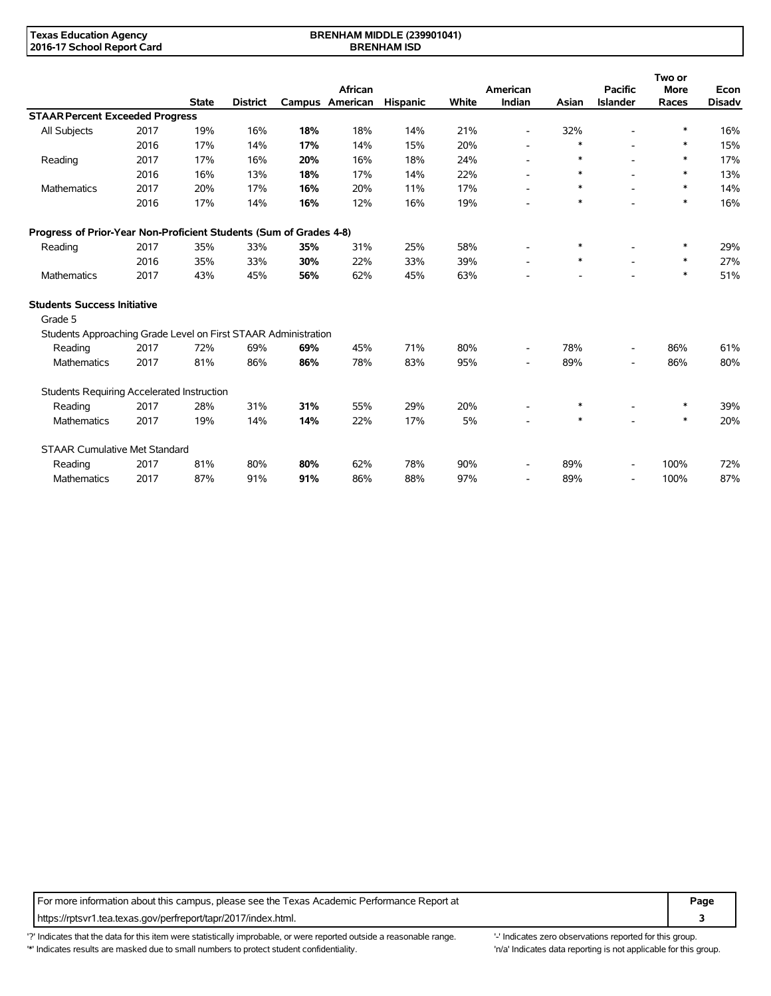#### **BRENHAM MIDDLE (239901041) BRENHAM ISD**

|                                                                    |      |              |                 |     |                 |          |       |                          |        |                                   | Two or      |                       |
|--------------------------------------------------------------------|------|--------------|-----------------|-----|-----------------|----------|-------|--------------------------|--------|-----------------------------------|-------------|-----------------------|
|                                                                    |      |              | <b>District</b> |     | African         |          | White | American<br>Indian       |        | <b>Pacific</b><br><b>Islander</b> | <b>More</b> | Econ<br><b>Disadv</b> |
|                                                                    |      | <b>State</b> |                 |     | Campus American | Hispanic |       |                          | Asian  |                                   | Races       |                       |
| <b>STAAR Percent Exceeded Progress</b>                             |      |              |                 |     |                 |          |       |                          |        |                                   |             |                       |
| All Subjects                                                       | 2017 | 19%          | 16%             | 18% | 18%             | 14%      | 21%   | $\overline{\phantom{a}}$ | 32%    |                                   | *           | 16%                   |
|                                                                    | 2016 | 17%          | 14%             | 17% | 14%             | 15%      | 20%   | $\overline{\phantom{a}}$ | $\ast$ |                                   | $\ast$      | 15%                   |
| Reading                                                            | 2017 | 17%          | 16%             | 20% | 16%             | 18%      | 24%   | $\blacksquare$           | $\ast$ |                                   | *           | 17%                   |
|                                                                    | 2016 | 16%          | 13%             | 18% | 17%             | 14%      | 22%   |                          | $\ast$ |                                   | $\ast$      | 13%                   |
| <b>Mathematics</b>                                                 | 2017 | 20%          | 17%             | 16% | 20%             | 11%      | 17%   | $\overline{\phantom{a}}$ | $\ast$ |                                   | $\ast$      | 14%                   |
|                                                                    | 2016 | 17%          | 14%             | 16% | 12%             | 16%      | 19%   |                          | $\ast$ |                                   | $\ast$      | 16%                   |
| Progress of Prior-Year Non-Proficient Students (Sum of Grades 4-8) |      |              |                 |     |                 |          |       |                          |        |                                   |             |                       |
| Reading                                                            | 2017 | 35%          | 33%             | 35% | 31%             | 25%      | 58%   |                          | $\ast$ |                                   | *           | 29%                   |
|                                                                    | 2016 | 35%          | 33%             | 30% | 22%             | 33%      | 39%   | $\overline{\phantom{a}}$ | $\ast$ | $\blacksquare$                    | $\ast$      | 27%                   |
| Mathematics                                                        | 2017 | 43%          | 45%             | 56% | 62%             | 45%      | 63%   |                          |        |                                   | $\ast$      | 51%                   |
| <b>Students Success Initiative</b>                                 |      |              |                 |     |                 |          |       |                          |        |                                   |             |                       |
| Grade 5                                                            |      |              |                 |     |                 |          |       |                          |        |                                   |             |                       |
| Students Approaching Grade Level on First STAAR Administration     |      |              |                 |     |                 |          |       |                          |        |                                   |             |                       |
| Reading                                                            | 2017 | 72%          | 69%             | 69% | 45%             | 71%      | 80%   | $\overline{\phantom{a}}$ | 78%    | $\overline{\phantom{a}}$          | 86%         | 61%                   |
| Mathematics                                                        | 2017 | 81%          | 86%             | 86% | 78%             | 83%      | 95%   | $\overline{\phantom{a}}$ | 89%    | $\overline{\phantom{a}}$          | 86%         | 80%                   |
| Students Requiring Accelerated Instruction                         |      |              |                 |     |                 |          |       |                          |        |                                   |             |                       |
| Reading                                                            | 2017 | 28%          | 31%             | 31% | 55%             | 29%      | 20%   | $\overline{\phantom{a}}$ | $\ast$ |                                   | $\ast$      | 39%                   |
| <b>Mathematics</b>                                                 | 2017 | 19%          | 14%             | 14% | 22%             | 17%      | 5%    |                          | $\ast$ |                                   | $\ast$      | 20%                   |
| <b>STAAR Cumulative Met Standard</b>                               |      |              |                 |     |                 |          |       |                          |        |                                   |             |                       |
| Reading                                                            | 2017 | 81%          | 80%             | 80% | 62%             | 78%      | 90%   | $\overline{\phantom{a}}$ | 89%    | $\overline{\phantom{a}}$          | 100%        | 72%                   |
| <b>Mathematics</b>                                                 | 2017 | 87%          | 91%             | 91% | 86%             | 88%      | 97%   | $\overline{\phantom{a}}$ | 89%    | $\overline{\phantom{a}}$          | 100%        | 87%                   |

For more information about this campus, please see the Texas Academic Performance Report at **Page Page** https://rptsvr1.tea.texas.gov/perfreport/tapr/2017/index.html. **3**

'?' Indicates that the data for this item were statistically improbable, or were reported outside a reasonable range. '' Indicates zero observations reported for this group. '\*' Indicates results are masked due to small numbers to protect student confidentiality. Ma' Indicates data reporting is not applicable for this group.